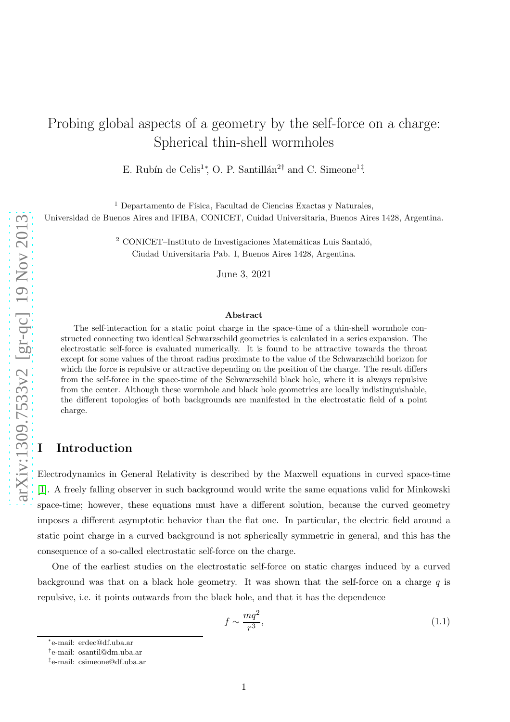# Probing global aspects of a geometry by the self-force on a charge: Spherical thin-shell wormholes

E. Rubín de Celis<sup>1</sup><sup>\*</sup>, O. P. Santillán<sup>2†</sup> and C. Simeone<sup>1‡</sup>.

 $^1$  Departamento de Física, Facultad de Ciencias Exactas y Naturales, Universidad de Buenos Aires and IFIBA, CONICET, Cuidad Universitaria, Buenos Aires 1428, Argentina.

> $2$  CONICET–Instituto de Investigaciones Matemáticas Luis Santaló, Ciudad Universitaria Pab. I, Buenos Aires 1428, Argentina.

> > June 3, 2021

#### Abstract

The self-interaction for a static point charge in the space-time of a thin-shell wormhole constructed connecting two identical Schwarzschild geometries is calculated in a series expansion. The electrostatic self-force is evaluated numerically. It is found to be attractive towards the throat except for some values of the throat radius proximate to the value of the Schwarzschild horizon for which the force is repulsive or attractive depending on the position of the charge. The result differs from the self-force in the space-time of the Schwarzschild black hole, where it is always repulsive from the center. Although these wormhole and black hole geometries are locally indistinguishable, the different topologies of both backgrounds are manifested in the electrostatic field of a point charge.

### **Introduction**

Electrodynamics in General Relativity is described by the Maxwell equations in curved space-time [\[1\]](#page-15-0). A freely falling observer in such background would write the same equations valid for Minkowski space-time; however, these equations must have a different solution, because the curved geometry imposes a different asymptotic behavior than the flat one. In particular, the electric field around a static point charge in a curved background is not spherically symmetric in general, and this has the consequence of a so-called electrostatic self-force on the charge.

One of the earliest studies on the electrostatic self-force on static charges induced by a curved background was that on a black hole geometry. It was shown that the self-force on a charge  $q$  is repulsive, i.e. it points outwards from the black hole, and that it has the dependence

$$
f \sim \frac{mq^2}{r^3},\tag{1.1}
$$

<sup>∗</sup> e-mail: erdec@df.uba.ar

<sup>†</sup> e-mail: osantil@dm.uba.ar

<sup>‡</sup> e-mail: csimeone@df.uba.ar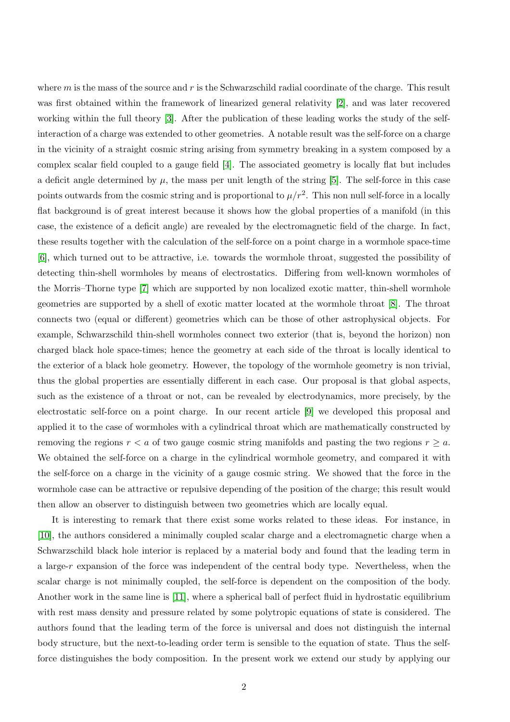where  $m$  is the mass of the source and  $r$  is the Schwarzschild radial coordinate of the charge. This result was first obtained within the framework of linearized general relativity [\[2\]](#page-15-1), and was later recovered working within the full theory [\[3\]](#page-15-2). After the publication of these leading works the study of the selfinteraction of a charge was extended to other geometries. A notable result was the self-force on a charge in the vicinity of a straight cosmic string arising from symmetry breaking in a system composed by a complex scalar field coupled to a gauge field [\[4\]](#page-15-3). The associated geometry is locally flat but includes a deficit angle determined by  $\mu$ , the mass per unit length of the string [\[5\]](#page-16-0). The self-force in this case points outwards from the cosmic string and is proportional to  $\mu/r^2$ . This non null self-force in a locally flat background is of great interest because it shows how the global properties of a manifold (in this case, the existence of a deficit angle) are revealed by the electromagnetic field of the charge. In fact, these results together with the calculation of the self-force on a point charge in a wormhole space-time [\[6\]](#page-16-1), which turned out to be attractive, i.e. towards the wormhole throat, suggested the possibility of detecting thin-shell wormholes by means of electrostatics. Differing from well-known wormholes of the Morris–Thorne type [\[7\]](#page-16-2) which are supported by non localized exotic matter, thin-shell wormhole geometries are supported by a shell of exotic matter located at the wormhole throat [\[8\]](#page-16-3). The throat connects two (equal or different) geometries which can be those of other astrophysical objects. For example, Schwarzschild thin-shell wormholes connect two exterior (that is, beyond the horizon) non charged black hole space-times; hence the geometry at each side of the throat is locally identical to the exterior of a black hole geometry. However, the topology of the wormhole geometry is non trivial, thus the global properties are essentially different in each case. Our proposal is that global aspects, such as the existence of a throat or not, can be revealed by electrodynamics, more precisely, by the electrostatic self-force on a point charge. In our recent article [\[9\]](#page-16-4) we developed this proposal and applied it to the case of wormholes with a cylindrical throat which are mathematically constructed by removing the regions  $r < a$  of two gauge cosmic string manifolds and pasting the two regions  $r \geq a$ . We obtained the self-force on a charge in the cylindrical wormhole geometry, and compared it with the self-force on a charge in the vicinity of a gauge cosmic string. We showed that the force in the wormhole case can be attractive or repulsive depending of the position of the charge; this result would then allow an observer to distinguish between two geometries which are locally equal.

It is interesting to remark that there exist some works related to these ideas. For instance, in [\[10\]](#page-16-5), the authors considered a minimally coupled scalar charge and a electromagnetic charge when a Schwarzschild black hole interior is replaced by a material body and found that the leading term in a large-r expansion of the force was independent of the central body type. Nevertheless, when the scalar charge is not minimally coupled, the self-force is dependent on the composition of the body. Another work in the same line is [\[11\]](#page-16-6), where a spherical ball of perfect fluid in hydrostatic equilibrium with rest mass density and pressure related by some polytropic equations of state is considered. The authors found that the leading term of the force is universal and does not distinguish the internal body structure, but the next-to-leading order term is sensible to the equation of state. Thus the selfforce distinguishes the body composition. In the present work we extend our study by applying our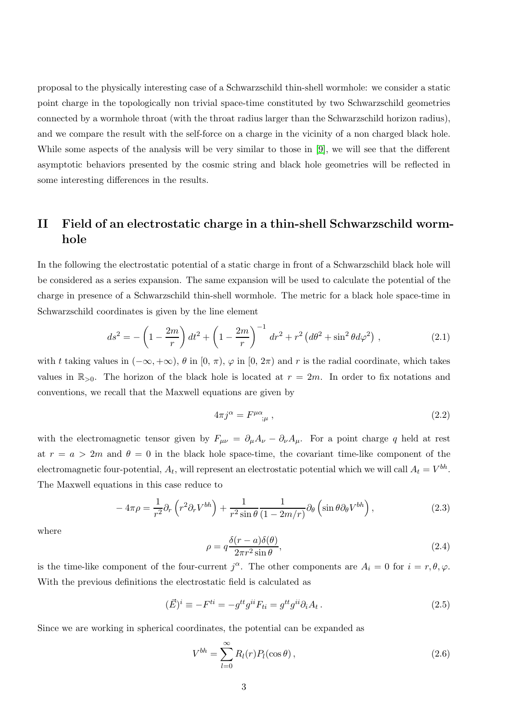proposal to the physically interesting case of a Schwarzschild thin-shell wormhole: we consider a static point charge in the topologically non trivial space-time constituted by two Schwarzschild geometries connected by a wormhole throat (with the throat radius larger than the Schwarzschild horizon radius), and we compare the result with the self-force on a charge in the vicinity of a non charged black hole. While some aspects of the analysis will be very similar to those in [\[9\]](#page-16-4), we will see that the different asymptotic behaviors presented by the cosmic string and black hole geometries will be reflected in some interesting differences in the results.

### II Field of an electrostatic charge in a thin-shell Schwarzschild wormhole

In the following the electrostatic potential of a static charge in front of a Schwarzschild black hole will be considered as a series expansion. The same expansion will be used to calculate the potential of the charge in presence of a Schwarzschild thin-shell wormhole. The metric for a black hole space-time in Schwarzschild coordinates is given by the line element

$$
ds^{2} = -\left(1 - \frac{2m}{r}\right)dt^{2} + \left(1 - \frac{2m}{r}\right)^{-1}dr^{2} + r^{2}\left(d\theta^{2} + \sin^{2}\theta d\varphi^{2}\right),
$$
 (2.1)

with t taking values in  $(-\infty, +\infty)$ ,  $\theta$  in  $[0, \pi)$ ,  $\varphi$  in  $[0, 2\pi)$  and r is the radial coordinate, which takes values in  $\mathbb{R}_{>0}$ . The horizon of the black hole is located at  $r = 2m$ . In order to fix notations and conventions, we recall that the Maxwell equations are given by

<span id="page-2-0"></span>
$$
4\pi j^{\alpha} = F^{\mu\alpha}_{\quad;\mu} \,, \tag{2.2}
$$

with the electromagnetic tensor given by  $F_{\mu\nu} = \partial_{\mu}A_{\nu} - \partial_{\nu}A_{\mu}$ . For a point charge q held at rest at  $r = a > 2m$  and  $\theta = 0$  in the black hole space-time, the covariant time-like component of the electromagnetic four-potential,  $A_t$ , will represent an electrostatic potential which we will call  $A_t = V^{bh}$ . The Maxwell equations in this case reduce to

$$
-4\pi\rho = \frac{1}{r^2}\partial_r\left(r^2\partial_r V^{bh}\right) + \frac{1}{r^2\sin\theta}\frac{1}{(1-2m/r)}\partial_\theta\left(\sin\theta\partial_\theta V^{bh}\right),\tag{2.3}
$$

where

$$
\rho = q \frac{\delta(r-a)\delta(\theta)}{2\pi r^2 \sin \theta},\tag{2.4}
$$

is the time-like component of the four-current  $j^{\alpha}$ . The other components are  $A_i = 0$  for  $i = r, \theta, \varphi$ . With the previous definitions the electrostatic field is calculated as

<span id="page-2-2"></span>
$$
(\vec{E})^i \equiv -F^{ti} = -g^{tt}g^{ii}F_{ti} = g^{tt}g^{ii}\partial_i A_t \,. \tag{2.5}
$$

Since we are working in spherical coordinates, the potential can be expanded as

<span id="page-2-1"></span>
$$
V^{bh} = \sum_{l=0}^{\infty} R_l(r) P_l(\cos \theta), \qquad (2.6)
$$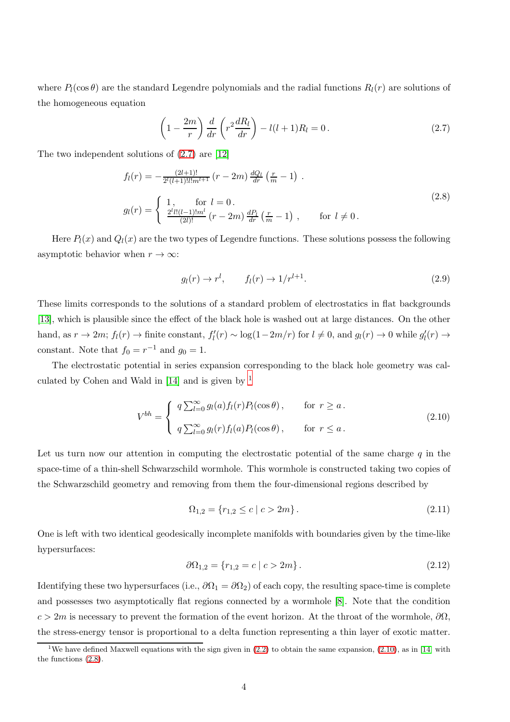where  $P_l(\cos\theta)$  are the standard Legendre polynomials and the radial functions  $R_l(r)$  are solutions of the homogeneous equation

<span id="page-3-0"></span>
$$
\left(1 - \frac{2m}{r}\right)\frac{d}{dr}\left(r^2\frac{dR_l}{dr}\right) - l(l+1)R_l = 0.
$$
\n(2.7)

The two independent solutions of [\(2.7\)](#page-3-0) are [\[12\]](#page-16-7)

<span id="page-3-3"></span>
$$
f_l(r) = -\frac{(2l+1)!}{2^l(l+1)!l!m^{l+1}} (r-2m) \frac{dQ_l}{dr} \left(\frac{r}{m}-1\right).
$$
  

$$
g_l(r) = \begin{cases} 1, & \text{for } l = 0 \\ \frac{2^l l!(l-1)!m^l}{(2l)!} (r-2m) \frac{dP_l}{dr} \left(\frac{r}{m}-1\right), & \text{for } l \neq 0. \end{cases}
$$
(2.8)

Here  $P_l(x)$  and  $Q_l(x)$  are the two types of Legendre functions. These solutions possess the following asymptotic behavior when  $r \to \infty$ :

<span id="page-3-4"></span>
$$
g_l(r) \to r^l, \qquad f_l(r) \to 1/r^{l+1}.
$$
\n(2.9)

These limits corresponds to the solutions of a standard problem of electrostatics in flat backgrounds [\[13\]](#page-16-8), which is plausible since the effect of the black hole is washed out at large distances. On the other hand, as  $r \to 2m$ ;  $f_l(r) \to \text{finite constant}$ ,  $f'_l(r) \sim \log(1-2m/r)$  for  $l \neq 0$ , and  $g_l(r) \to 0$  while  $g'_l(r) \to$ constant. Note that  $f_0 = r^{-1}$  and  $g_0 = 1$ .

The electrostatic potential in series expansion corresponding to the black hole geometry was calculated by Cohen and Wald in  $[14]$  $[14]$  $[14]$  and is given by <sup>1</sup>

<span id="page-3-2"></span>
$$
V^{bh} = \begin{cases} q \sum_{l=0}^{\infty} g_l(a) f_l(r) P_l(\cos \theta), & \text{for } r \ge a. \\ q \sum_{l=0}^{\infty} g_l(r) f_l(a) P_l(\cos \theta), & \text{for } r \le a. \end{cases}
$$
(2.10)

Let us turn now our attention in computing the electrostatic potential of the same charge  $q$  in the space-time of a thin-shell Schwarzschild wormhole. This wormhole is constructed taking two copies of the Schwarzschild geometry and removing from them the four-dimensional regions described by

$$
\Omega_{1,2} = \{r_{1,2} \le c \mid c > 2m\}.
$$
\n(2.11)

One is left with two identical geodesically incomplete manifolds with boundaries given by the time-like hypersurfaces:

$$
\partial \Omega_{1,2} = \{r_{1,2} = c \mid c > 2m\}.
$$
\n(2.12)

Identifying these two hypersurfaces (i.e.,  $\partial\Omega_1 = \partial\Omega_2$ ) of each copy, the resulting space-time is complete and possesses two asymptotically flat regions connected by a wormhole [\[8\]](#page-16-3). Note that the condition  $c > 2m$  is necessary to prevent the formation of the event horizon. At the throat of the wormhole,  $\partial\Omega$ , the stress-energy tensor is proportional to a delta function representing a thin layer of exotic matter.

<span id="page-3-1"></span><sup>&</sup>lt;sup>1</sup>We have defined Maxwell equations with the sign given in  $(2.2)$  to obtain the same expansion,  $(2.10)$ , as in [\[14\]](#page-16-9) with the functions [\(2.8\)](#page-3-3).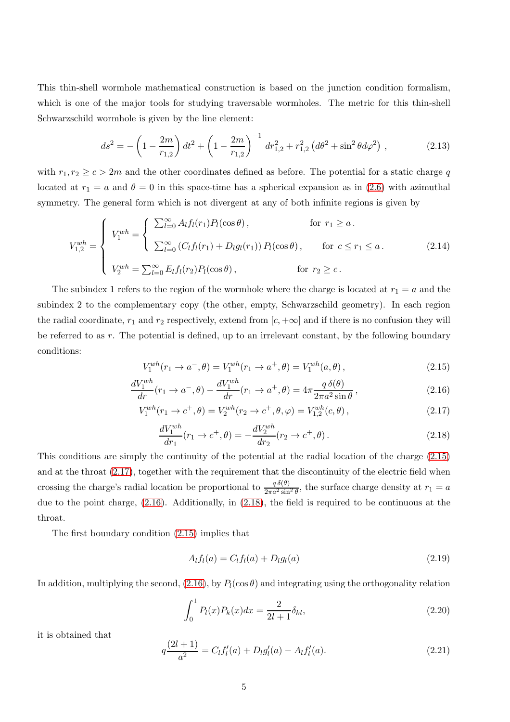This thin-shell wormhole mathematical construction is based on the junction condition formalism, which is one of the major tools for studying traversable wormholes. The metric for this thin-shell Schwarzschild wormhole is given by the line element:

$$
ds^{2} = -\left(1 - \frac{2m}{r_{1,2}}\right)dt^{2} + \left(1 - \frac{2m}{r_{1,2}}\right)^{-1}dr_{1,2}^{2} + r_{1,2}^{2}\left(d\theta^{2} + \sin^{2}\theta d\varphi^{2}\right),
$$
 (2.13)

with  $r_1, r_2 \geq c > 2m$  and the other coordinates defined as before. The potential for a static charge q located at  $r_1 = a$  and  $\theta = 0$  in this space-time has a spherical expansion as in [\(2.6\)](#page-2-1) with azimuthal symmetry. The general form which is not divergent at any of both infinite regions is given by

<span id="page-4-5"></span>
$$
V_{1,2}^{wh} = \begin{cases} V_1^{wh} = \begin{cases} \sum_{l=0}^{\infty} A_l f_l(r_1) P_l(\cos \theta), & \text{for } r_1 \ge a. \\ \sum_{l=0}^{\infty} (C_l f_l(r_1) + D_l g_l(r_1)) P_l(\cos \theta), & \text{for } c \le r_1 \le a. \end{cases} \end{cases}
$$
(2.14)  

$$
V_2^{wh} = \sum_{l=0}^{\infty} E_l f_l(r_2) P_l(\cos \theta), \qquad \text{for } r_2 \ge c.
$$

The subindex 1 refers to the region of the wormhole where the charge is located at  $r_1 = a$  and the subindex 2 to the complementary copy (the other, empty, Schwarzschild geometry). In each region the radial coordinate,  $r_1$  and  $r_2$  respectively, extend from  $[c, +\infty]$  and if there is no confusion they will be referred to as r. The potential is defined, up to an irrelevant constant, by the following boundary conditions:

<span id="page-4-0"></span>
$$
V_1^{wh}(r_1 \to a^-, \theta) = V_1^{wh}(r_1 \to a^+, \theta) = V_1^{wh}(a, \theta), \qquad (2.15)
$$

<span id="page-4-2"></span>
$$
\frac{dV_1^{wh}}{dr}(r_1 \to a^-, \theta) - \frac{dV_1^{wh}}{dr}(r_1 \to a^+, \theta) = 4\pi \frac{q\,\delta(\theta)}{2\pi a^2 \sin\theta},\tag{2.16}
$$

<span id="page-4-1"></span>
$$
V_1^{wh}(r_1 \to c^+, \theta) = V_2^{wh}(r_2 \to c^+, \theta, \varphi) = V_{1,2}^{wh}(c, \theta), \qquad (2.17)
$$

<span id="page-4-3"></span>
$$
\frac{dV_1^{wh}}{dr_1}(r_1 \to c^+, \theta) = -\frac{dV_2^{wh}}{dr_2}(r_2 \to c^+, \theta). \tag{2.18}
$$

This conditions are simply the continuity of the potential at the radial location of the charge [\(2.15\)](#page-4-0) and at the throat [\(2.17\)](#page-4-1), together with the requirement that the discontinuity of the electric field when crossing the charge's radial location be proportional to  $\frac{q \delta(\theta)}{2\pi a^2 \sin^2 \theta}$ , the surface charge density at  $r_1 = a$ due to the point charge, [\(2.16\)](#page-4-2). Additionally, in [\(2.18\)](#page-4-3), the field is required to be continuous at the throat.

The first boundary condition [\(2.15\)](#page-4-0) implies that

<span id="page-4-4"></span>
$$
A_l f_l(a) = C_l f_l(a) + D_l g_l(a)
$$
\n(2.19)

In addition, multiplying the second, [\(2.16\)](#page-4-2), by  $P_l(\cos \theta)$  and integrating using the orthogonality relation

$$
\int_0^1 P_l(x)P_k(x)dx = \frac{2}{2l+1}\delta_{kl},
$$
\n(2.20)

it is obtained that

$$
q\frac{(2l+1)}{a^2} = C_l f'_l(a) + D_l g'_l(a) - A_l f'_l(a). \tag{2.21}
$$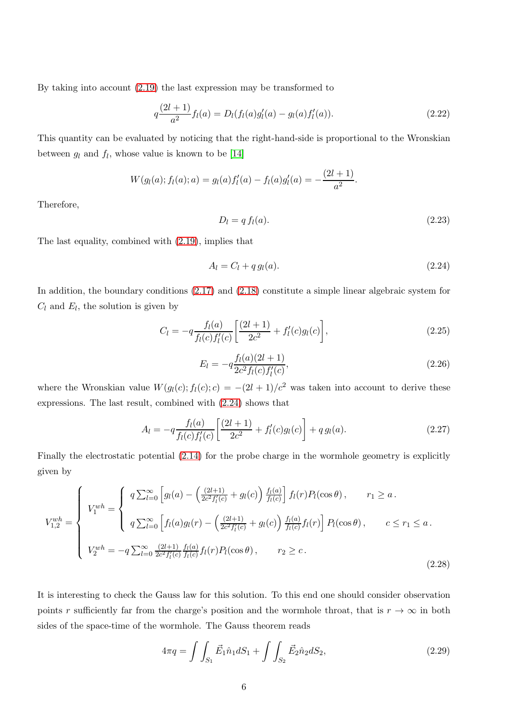By taking into account [\(2.19\)](#page-4-4) the last expression may be transformed to

$$
q\frac{(2l+1)}{a^2}f_l(a) = D_l(f_l(a)g_l'(a) - g_l(a)f_l'(a)).
$$
\n(2.22)

This quantity can be evaluated by noticing that the right-hand-side is proportional to the Wronskian between  $g_l$  and  $f_l$ , whose value is known to be [\[14\]](#page-16-9)

$$
W(g_l(a); f_l(a); a) = g_l(a)f'_l(a) - f_l(a)g'_l(a) = -\frac{(2l+1)}{a^2}.
$$

Therefore,

$$
D_l = q f_l(a). \tag{2.23}
$$

The last equality, combined with [\(2.19\)](#page-4-4), implies that

<span id="page-5-0"></span>
$$
A_l = C_l + q g_l(a). \tag{2.24}
$$

In addition, the boundary conditions [\(2.17\)](#page-4-1) and [\(2.18\)](#page-4-3) constitute a simple linear algebraic system for  $C_l$  and  $E_l$ , the solution is given by

$$
C_l = -q \frac{f_l(a)}{f_l(c) f'_l(c)} \left[ \frac{(2l+1)}{2c^2} + f'_l(c) g_l(c) \right],\tag{2.25}
$$

$$
E_l = -q \frac{f_l(a)(2l+1)}{2c^2 f_l(c) f'_l(c)},
$$
\n(2.26)

where the Wronskian value  $W(g_l(c); f_l(c); c) = -(2l+1)/c^2$  was taken into account to derive these expressions. The last result, combined with [\(2.24\)](#page-5-0) shows that

$$
A_l = -q \frac{f_l(a)}{f_l(c)f'_l(c)} \left[ \frac{(2l+1)}{2c^2} + f'_l(c)g_l(c) \right] + q g_l(a). \tag{2.27}
$$

Finally the electrostatic potential [\(2.14\)](#page-4-5) for the probe charge in the wormhole geometry is explicitly given by

<span id="page-5-2"></span>
$$
V_{1,2}^{wh} = \begin{cases} q \sum_{l=0}^{\infty} \left[ g_l(a) - \left( \frac{(2l+1)}{2c^2 f_l'(c)} + g_l(c) \right) \frac{f_l(a)}{f_l(c)} \right] f_l(r) P_l(\cos \theta), & r_1 \ge a. \\ q \sum_{l=0}^{\infty} \left[ f_l(a) g_l(r) - \left( \frac{(2l+1)}{2c^2 f_l'(c)} + g_l(c) \right) \frac{f_l(a)}{f_l(c)} f_l(r) \right] P_l(\cos \theta), & c \le r_1 \le a. \end{cases}
$$
  

$$
V_2^{wh} = -q \sum_{l=0}^{\infty} \frac{(2l+1)}{2c^2 f_l'(c)} \frac{f_l(a)}{f_l(c)} f_l(r) P_l(\cos \theta), \qquad r_2 \ge c.
$$
 (2.28)

It is interesting to check the Gauss law for this solution. To this end one should consider observation points r sufficiently far from the charge's position and the wormhole throat, that is  $r \to \infty$  in both sides of the space-time of the wormhole. The Gauss theorem reads

<span id="page-5-1"></span>
$$
4\pi q = \int \int_{S_1} \vec{E}_1 \hat{n}_1 dS_1 + \int \int_{S_2} \vec{E}_2 \hat{n}_2 dS_2, \tag{2.29}
$$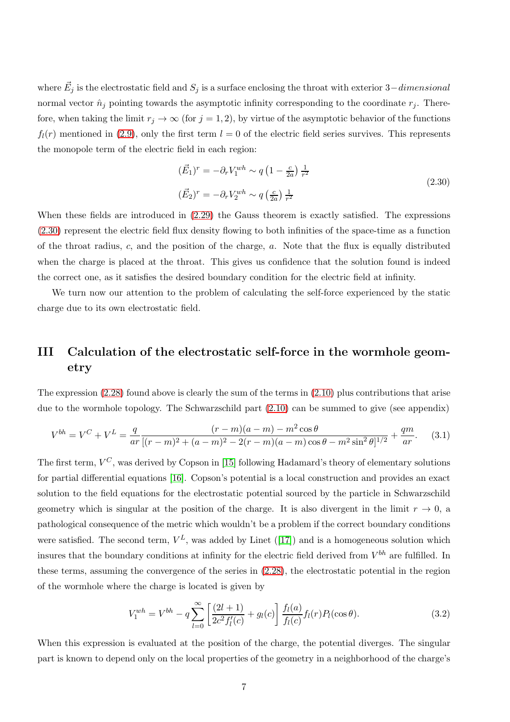where  $\vec{E}_j$  is the electrostatic field and  $S_j$  is a surface enclosing the throat with exterior 3–dimensional normal vector  $\hat{n}_j$  pointing towards the asymptotic infinity corresponding to the coordinate  $r_j$ . Therefore, when taking the limit  $r_j \to \infty$  (for  $j = 1, 2$ ), by virtue of the asymptotic behavior of the functions  $f_l(r)$  mentioned in [\(2.9\)](#page-3-4), only the first term  $l = 0$  of the electric field series survives. This represents the monopole term of the electric field in each region:

<span id="page-6-0"></span>
$$
(\vec{E}_1)^r = -\partial_r V_1^{wh} \sim q \left(1 - \frac{c}{2a}\right) \frac{1}{r^2}
$$
  

$$
(\vec{E}_2)^r = -\partial_r V_2^{wh} \sim q \left(\frac{c}{2a}\right) \frac{1}{r^2}
$$
\n
$$
(2.30)
$$

When these fields are introduced in  $(2.29)$  the Gauss theorem is exactly satisfied. The expressions [\(2.30\)](#page-6-0) represent the electric field flux density flowing to both infinities of the space-time as a function of the throat radius,  $c$ , and the position of the charge,  $a$ . Note that the flux is equally distributed when the charge is placed at the throat. This gives us confidence that the solution found is indeed the correct one, as it satisfies the desired boundary condition for the electric field at infinity.

We turn now our attention to the problem of calculating the self-force experienced by the static charge due to its own electrostatic field.

## III Calculation of the electrostatic self-force in the wormhole geometry

The expression [\(2.28\)](#page-5-2) found above is clearly the sum of the terms in [\(2.10\)](#page-3-2) plus contributions that arise due to the wormhole topology. The Schwarzschild part [\(2.10\)](#page-3-2) can be summed to give (see appendix)

<span id="page-6-1"></span>
$$
V^{bh} = V^C + V^L = \frac{q}{ar} \frac{(r-m)(a-m) - m^2 \cos \theta}{[(r-m)^2 + (a-m)^2 - 2(r-m)(a-m)\cos \theta - m^2 \sin^2 \theta]^{1/2}} + \frac{qm}{ar}.
$$
 (3.1)

The first term,  $V^C$ , was derived by Copson in [\[15\]](#page-16-10) following Hadamard's theory of elementary solutions for partial differential equations [\[16\]](#page-16-11). Copson's potential is a local construction and provides an exact solution to the field equations for the electrostatic potential sourced by the particle in Schwarzschild geometry which is singular at the position of the charge. It is also divergent in the limit  $r \to 0$ , a pathological consequence of the metric which wouldn't be a problem if the correct boundary conditions weresatisfied. The second term,  $V^L$ , was added by Linet ([\[17\]](#page-16-12)) and is a homogeneous solution which insures that the boundary conditions at infinity for the electric field derived from  $V^{bh}$  are fulfilled. In these terms, assuming the convergence of the series in [\(2.28\)](#page-5-2), the electrostatic potential in the region of the wormhole where the charge is located is given by

<span id="page-6-2"></span>
$$
V_1^{wh} = V^{bh} - q \sum_{l=0}^{\infty} \left[ \frac{(2l+1)}{2c^2 f_l'(c)} + g_l(c) \right] \frac{f_l(a)}{f_l(c)} f_l(r) P_l(\cos \theta). \tag{3.2}
$$

When this expression is evaluated at the position of the charge, the potential diverges. The singular part is known to depend only on the local properties of the geometry in a neighborhood of the charge's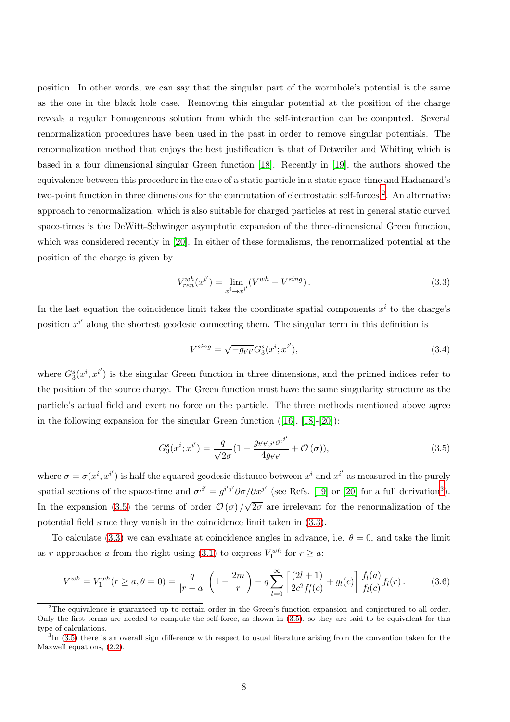position. In other words, we can say that the singular part of the wormhole's potential is the same as the one in the black hole case. Removing this singular potential at the position of the charge reveals a regular homogeneous solution from which the self-interaction can be computed. Several renormalization procedures have been used in the past in order to remove singular potentials. The renormalization method that enjoys the best justification is that of Detweiler and Whiting which is based in a four dimensional singular Green function [\[18\]](#page-16-13). Recently in [\[19\]](#page-16-14), the authors showed the equivalence between this procedure in the case of a static particle in a static space-time and Hadamard's two-point function in three dimensions for the computation of electrostatic self-forces<sup>[2](#page-7-0)</sup>. An alternative approach to renormalization, which is also suitable for charged particles at rest in general static curved space-times is the DeWitt-Schwinger asymptotic expansion of the three-dimensional Green function, which was considered recently in [\[20\]](#page-16-15). In either of these formalisms, the renormalized potential at the position of the charge is given by

<span id="page-7-3"></span>
$$
V_{ren}^{wh}(x^{i'}) = \lim_{x^i \to x^{i'}} (V^{wh} - V^{sing}).
$$
\n(3.3)

In the last equation the coincidence limit takes the coordinate spatial components  $x^i$  to the charge's position  $x^{i'}$  along the shortest geodesic connecting them. The singular term in this definition is

$$
V^{sing} = \sqrt{-g_{t't'}} G_3^s(x^i; x^{i'}), \tag{3.4}
$$

where  $G_3^s(x^i, x^{i'})$  is the singular Green function in three dimensions, and the primed indices refer to the position of the source charge. The Green function must have the same singularity structure as the particle's actual field and exert no force on the particle. The three methods mentioned above agree in the following expansion for the singular Green function([\[16\]](#page-16-11), [\[18\]](#page-16-13)-[\[20\]](#page-16-15)):

<span id="page-7-2"></span>
$$
G_3^s(x^i; x^{i'}) = \frac{q}{\sqrt{2\sigma}} (1 - \frac{g_{t't', i'} \sigma^{i'}}{4g_{t't'}} + \mathcal{O}(\sigma)),
$$
\n(3.5)

where  $\sigma = \sigma(x^i, x^{i'})$  is half the squared geodesic distance between  $x^i$  and  $x^{i'}$  as measured in the purely spatial sections of the space-time and  $\sigma^{i'} = g^{i'j'} \partial \sigma / \partial x^{j'}$  (see Refs. [\[19\]](#page-16-14) or [\[20\]](#page-16-15) for a full derivation<sup>[3](#page-7-1)</sup>). In the expansion [\(3.5\)](#page-7-2) the terms of order  $\mathcal{O}(\sigma)/\sqrt{2\sigma}$  are irrelevant for the renormalization of the potential field since they vanish in the coincidence limit taken in [\(3.3\)](#page-7-3).

To calculate [\(3.3\)](#page-7-3) we can evaluate at coincidence angles in advance, i.e.  $\theta = 0$ , and take the limit as r approaches a from the right using [\(3.1\)](#page-6-1) to express  $V_1^{wh}$  for  $r \geq a$ :

<span id="page-7-4"></span>
$$
V^{wh} = V_1^{wh}(r \ge a, \theta = 0) = \frac{q}{|r - a|} \left(1 - \frac{2m}{r}\right) - q \sum_{l = 0}^{\infty} \left[\frac{(2l + 1)}{2c^2 f'_l(c)} + g_l(c)\right] \frac{f_l(a)}{f_l(c)} f_l(r).
$$
 (3.6)

<span id="page-7-0"></span><sup>2</sup>The equivalence is guaranteed up to certain order in the Green's function expansion and conjectured to all order. Only the first terms are needed to compute the self-force, as shown in [\(3.5\)](#page-7-2), so they are said to be equivalent for this type of calculations.

<span id="page-7-1"></span> ${}^{3}$ In [\(3.5\)](#page-7-2) there is an overall sign difference with respect to usual literature arising from the convention taken for the Maxwell equations, [\(2.2\)](#page-2-0).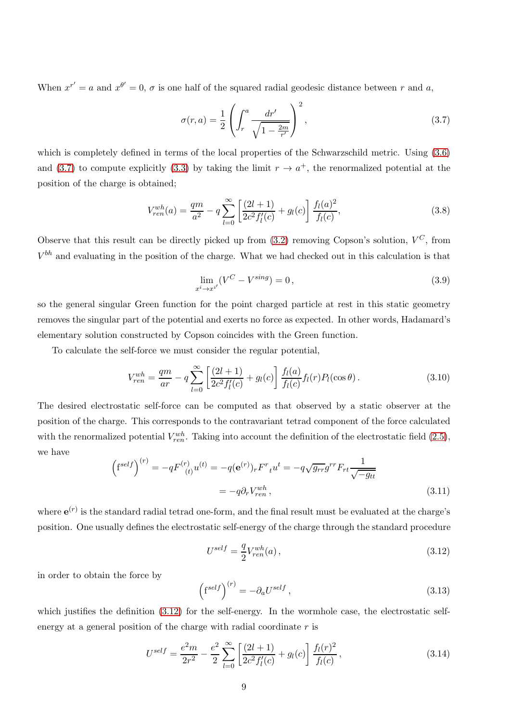When  $x^{r'} = a$  and  $x^{\theta'} = 0$ ,  $\sigma$  is one half of the squared radial geodesic distance between r and a,

<span id="page-8-0"></span>
$$
\sigma(r, a) = \frac{1}{2} \left( \int_r^a \frac{dr'}{\sqrt{1 - \frac{2m}{r'}}} \right)^2,
$$
\n(3.7)

which is completely defined in terms of the local properties of the Schwarzschild metric. Using  $(3.6)$ and [\(3.7\)](#page-8-0) to compute explicitly [\(3.3\)](#page-7-3) by taking the limit  $r \to a^+$ , the renormalized potential at the position of the charge is obtained;

$$
V_{ren}^{wh}(a) = \frac{qm}{a^2} - q \sum_{l=0}^{\infty} \left[ \frac{(2l+1)}{2c^2 f'_l(c)} + g_l(c) \right] \frac{f_l(a)^2}{f_l(c)},\tag{3.8}
$$

Observe that this result can be directly picked up from  $(3.2)$  removing Copson's solution,  $V^C$ , from  $V^{bh}$  and evaluating in the position of the charge. What we had checked out in this calculation is that

$$
\lim_{x^i \to x^{i'}} (V^C - V^{sing}) = 0,
$$
\n
$$
(3.9)
$$

so the general singular Green function for the point charged particle at rest in this static geometry removes the singular part of the potential and exerts no force as expected. In other words, Hadamard's elementary solution constructed by Copson coincides with the Green function.

To calculate the self-force we must consider the regular potential,

$$
V_{ren}^{wh} = \frac{qm}{ar} - q \sum_{l=0}^{\infty} \left[ \frac{(2l+1)}{2c^2 f_l'(c)} + g_l(c) \right] \frac{f_l(a)}{f_l(c)} f_l(r) P_l(\cos\theta). \tag{3.10}
$$

The desired electrostatic self-force can be computed as that observed by a static observer at the position of the charge. This corresponds to the contravariant tetrad component of the force calculated with the renormalized potential  $V_{ren}^{wh}$ . Taking into account the definition of the electrostatic field [\(2.5\)](#page-2-2), we have

$$
\left(f^{self}\right)^{(r)} = -qF^{(r)}_{(t)}u^{(t)} = -q(e^{(r)})_r F^r_t u^t = -q\sqrt{g_{rr}}g^{rr} F_{rt} \frac{1}{\sqrt{-g_{tt}}}
$$

$$
= -q\partial_r V_{ren}^{wh}, \tag{3.11}
$$

where  $e^{(r)}$  is the standard radial tetrad one-form, and the final result must be evaluated at the charge's position. One usually defines the electrostatic self-energy of the charge through the standard procedure

<span id="page-8-1"></span>
$$
U^{self} = \frac{q}{2} V_{ren}^{wh}(a) , \qquad (3.12)
$$

in order to obtain the force by

$$
\left(\mathbf{f}^{self}\right)^{(r)} = -\partial_a U^{self} \,,\tag{3.13}
$$

which justifies the definition  $(3.12)$  for the self-energy. In the wormhole case, the electrostatic selfenergy at a general position of the charge with radial coordinate  $r$  is

$$
U^{self} = \frac{e^2 m}{2r^2} - \frac{e^2}{2} \sum_{l=0}^{\infty} \left[ \frac{(2l+1)}{2c^2 f'_l(c)} + g_l(c) \right] \frac{f_l(r)^2}{f_l(c)},\tag{3.14}
$$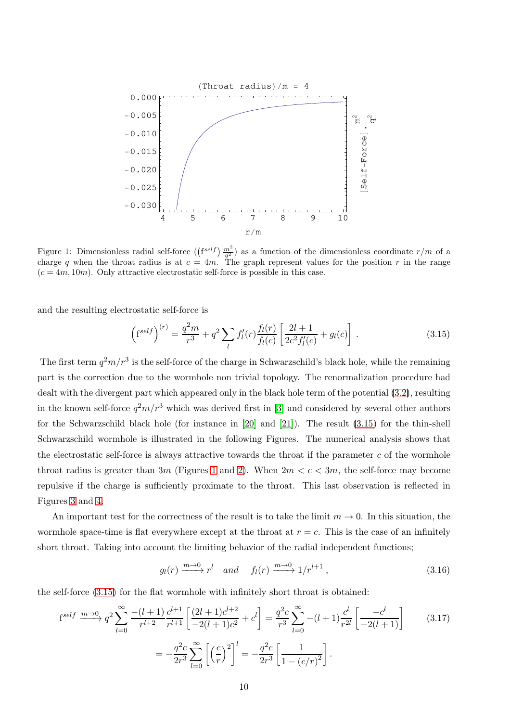<span id="page-9-1"></span>

Figure 1: Dimensionless radial self-force  $(\left(f^{self}\right) \frac{m^2}{q^2})$  as a function of the dimensionless coordinate  $r/m$  of a charge q when the throat radius is at  $c = 4m$ . The graph represent values for the position r in the range  $(c = 4m, 10m)$ . Only attractive electrostatic self-force is possible in this case.

and the resulting electrostatic self-force is

<span id="page-9-0"></span>
$$
\left(f^{self}\right)^{(r)} = \frac{q^2m}{r^3} + q^2 \sum_{l} f'_l(r) \frac{f_l(r)}{f_l(c)} \left[\frac{2l+1}{2c^2 f'_l(c)} + g_l(c)\right].
$$
\n(3.15)

The first term  $q^2m/r^3$  is the self-force of the charge in Schwarzschild's black hole, while the remaining part is the correction due to the wormhole non trivial topology. The renormalization procedure had dealt with the divergent part which appeared only in the black hole term of the potential [\(3.2\)](#page-6-2), resulting in the known self-force  $q^2m/r^3$  which was derived first in [\[3\]](#page-15-2) and considered by several other authors for the Schwarzschild black hole (for instance in [\[20\]](#page-16-15) and [\[21\]](#page-16-16)). The result [\(3.15\)](#page-9-0) for the thin-shell Schwarzschild wormhole is illustrated in the following Figures. The numerical analysis shows that the electrostatic self-force is always attractive towards the throat if the parameter  $c$  of the wormhole throat radius is greater than 3m (Figures [1](#page-9-1) and [2\)](#page-10-0). When  $2m < c < 3m$ , the self-force may become repulsive if the charge is sufficiently proximate to the throat. This last observation is reflected in Figures [3](#page-10-1) and [4.](#page-11-0)

An important test for the correctness of the result is to take the limit  $m \to 0$ . In this situation, the wormhole space-time is flat everywhere except at the throat at  $r = c$ . This is the case of an infinitely short throat. Taking into account the limiting behavior of the radial independent functions;

$$
g_l(r) \xrightarrow{m \to 0} r^l
$$
 and  $f_l(r) \xrightarrow{m \to 0} 1/r^{l+1}$ , (3.16)

the self-force [\(3.15\)](#page-9-0) for the flat wormhole with infinitely short throat is obtained:

$$
f^{self} \xrightarrow{m \to 0} q^{2} \sum_{l=0}^{\infty} \frac{-(l+1)}{r^{l+2}} \frac{c^{l+1}}{r^{l+1}} \left[ \frac{(2l+1)c^{l+2}}{-2(l+1)c^{2}} + c^{l} \right] = \frac{q^{2}c}{r^{3}} \sum_{l=0}^{\infty} -(l+1)\frac{c^{l}}{r^{2l}} \left[ \frac{-c^{l}}{-2(l+1)} \right] \tag{3.17}
$$

$$
= -\frac{q^{2}c}{2r^{3}} \sum_{l=0}^{\infty} \left[ \left(\frac{c}{r}\right)^{2} \right]^{l} = -\frac{q^{2}c}{2r^{3}} \left[ \frac{1}{1 - (c/r)^{2}} \right].
$$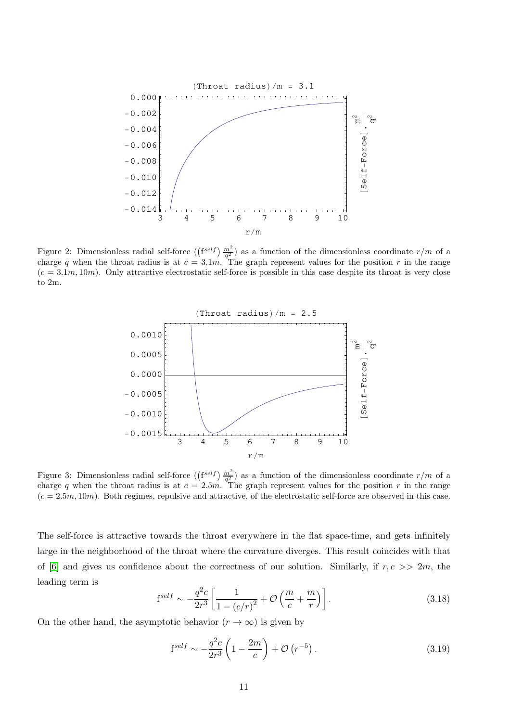<span id="page-10-0"></span>

<span id="page-10-1"></span>Figure 2: Dimensionless radial self-force  $(\binom{f \neq b}{{\overline{q}}^2}^m)$  as a function of the dimensionless coordinate  $r/m$  of a charge q when the throat radius is at  $c = 3.1m$ . The graph represent values for the position r in the range  $(c = 3.1m, 10m)$ . Only attractive electrostatic self-force is possible in this case despite its throat is very close to 2m.



Figure 3: Dimensionless radial self-force  $(\left(\frac{f}^{self}\right) \frac{m^2}{q^2})$  as a function of the dimensionless coordinate  $r/m$  of a charge q when the throat radius is at  $c = 2.5m$ . The graph represent values for the position r in the range  $(c = 2.5m, 10m)$ . Both regimes, repulsive and attractive, of the electrostatic self-force are observed in this case.

The self-force is attractive towards the throat everywhere in the flat space-time, and gets infinitely large in the neighborhood of the throat where the curvature diverges. This result coincides with that of [\[6\]](#page-16-1) and gives us confidence about the correctness of our solution. Similarly, if  $r, c \gg 2m$ , the leading term is

$$
f^{self} \sim -\frac{q^2 c}{2r^3} \left[ \frac{1}{1 - \left( c/r \right)^2} + \mathcal{O}\left( \frac{m}{c} + \frac{m}{r} \right) \right]. \tag{3.18}
$$

On the other hand, the asymptotic behavior  $(r \to \infty)$  is given by

<span id="page-10-2"></span>
$$
fself \sim -\frac{q^2c}{2r^3} \left( 1 - \frac{2m}{c} \right) + \mathcal{O}\left(r^{-5}\right). \tag{3.19}
$$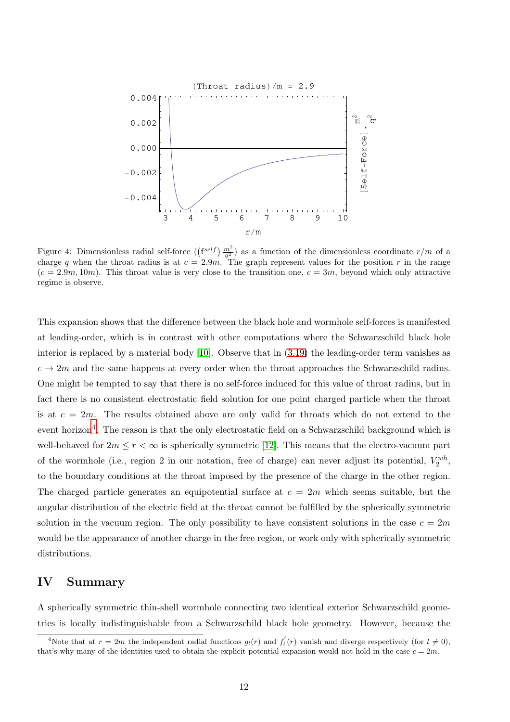<span id="page-11-0"></span>

Figure 4: Dimensionless radial self-force  $(\binom{f \neq b}{{\overline{q}}^2}^m)$  as a function of the dimensionless coordinate  $r/m$  of a charge q when the throat radius is at  $c = 2.9m$ . The graph represent values for the position r in the range  $(c = 2.9m, 10m)$ . This throat value is very close to the transition one,  $c = 3m$ , beyond which only attractive regime is observe.

This expansion shows that the difference between the black hole and wormhole self-forces is manifested at leading-order, which is in contrast with other computations where the Schwarzschild black hole interior is replaced by a material body [\[10\]](#page-16-5). Observe that in [\(3.19\)](#page-10-2) the leading-order term vanishes as  $c \to 2m$  and the same happens at every order when the throat approaches the Schwarzschild radius. One might be tempted to say that there is no self-force induced for this value of throat radius, but in fact there is no consistent electrostatic field solution for one point charged particle when the throat is at  $c = 2m$ . The results obtained above are only valid for throats which do not extend to the event horizon<sup>[4](#page-11-1)</sup>. The reason is that the only electrostatic field on a Schwarzschild background which is well-behaved for  $2m \le r < \infty$  is spherically symmetric [\[12\]](#page-16-7). This means that the electro-vacuum part of the wormhole (i.e., region 2 in our notation, free of charge) can never adjust its potential,  $V_2^{wh}$ , to the boundary conditions at the throat imposed by the presence of the charge in the other region. The charged particle generates an equipotential surface at  $c = 2m$  which seems suitable, but the angular distribution of the electric field at the throat cannot be fulfilled by the spherically symmetric solution in the vacuum region. The only possibility to have consistent solutions in the case  $c = 2m$ would be the appearance of another charge in the free region, or work only with spherically symmetric distributions.

#### IV Summary

A spherically symmetric thin-shell wormhole connecting two identical exterior Schwarzschild geometries is locally indistinguishable from a Schwarzschild black hole geometry. However, because the

<span id="page-11-1"></span><sup>&</sup>lt;sup>4</sup>Note that at  $r = 2m$  the independent radial functions  $g_l(r)$  and  $f'_l(r)$  vanish and diverge respectively (for  $l \neq 0$ ), that's why many of the identities used to obtain the explicit potential expansion would not hold in the case  $c = 2m$ .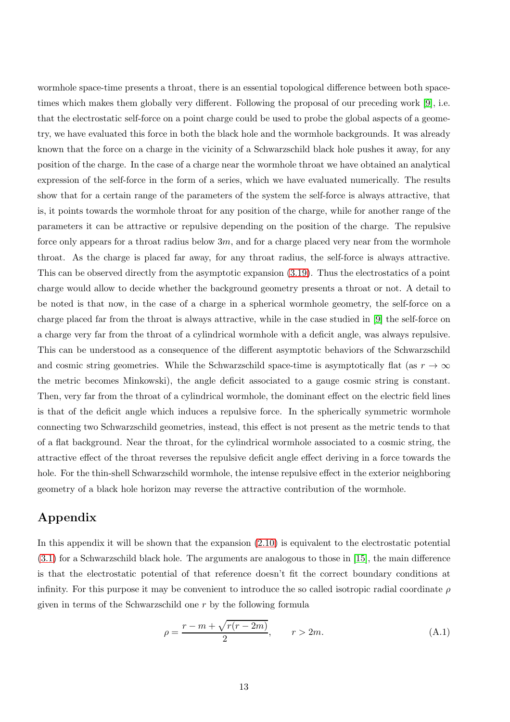wormhole space-time presents a throat, there is an essential topological difference between both spacetimes which makes them globally very different. Following the proposal of our preceding work [\[9\]](#page-16-4), i.e. that the electrostatic self-force on a point charge could be used to probe the global aspects of a geometry, we have evaluated this force in both the black hole and the wormhole backgrounds. It was already known that the force on a charge in the vicinity of a Schwarzschild black hole pushes it away, for any position of the charge. In the case of a charge near the wormhole throat we have obtained an analytical expression of the self-force in the form of a series, which we have evaluated numerically. The results show that for a certain range of the parameters of the system the self-force is always attractive, that is, it points towards the wormhole throat for any position of the charge, while for another range of the parameters it can be attractive or repulsive depending on the position of the charge. The repulsive force only appears for a throat radius below  $3m$ , and for a charge placed very near from the wormhole throat. As the charge is placed far away, for any throat radius, the self-force is always attractive. This can be observed directly from the asymptotic expansion [\(3.19\)](#page-10-2). Thus the electrostatics of a point charge would allow to decide whether the background geometry presents a throat or not. A detail to be noted is that now, in the case of a charge in a spherical wormhole geometry, the self-force on a charge placed far from the throat is always attractive, while in the case studied in [\[9\]](#page-16-4) the self-force on a charge very far from the throat of a cylindrical wormhole with a deficit angle, was always repulsive. This can be understood as a consequence of the different asymptotic behaviors of the Schwarzschild and cosmic string geometries. While the Schwarzschild space-time is asymptotically flat (as  $r \to \infty$ the metric becomes Minkowski), the angle deficit associated to a gauge cosmic string is constant. Then, very far from the throat of a cylindrical wormhole, the dominant effect on the electric field lines is that of the deficit angle which induces a repulsive force. In the spherically symmetric wormhole connecting two Schwarzschild geometries, instead, this effect is not present as the metric tends to that of a flat background. Near the throat, for the cylindrical wormhole associated to a cosmic string, the attractive effect of the throat reverses the repulsive deficit angle effect deriving in a force towards the hole. For the thin-shell Schwarzschild wormhole, the intense repulsive effect in the exterior neighboring geometry of a black hole horizon may reverse the attractive contribution of the wormhole.

### Appendix

In this appendix it will be shown that the expansion [\(2.10\)](#page-3-2) is equivalent to the electrostatic potential [\(3.1\)](#page-6-1) for a Schwarzschild black hole. The arguments are analogous to those in [\[15\]](#page-16-10), the main difference is that the electrostatic potential of that reference doesn't fit the correct boundary conditions at infinity. For this purpose it may be convenient to introduce the so called isotropic radial coordinate  $\rho$ given in terms of the Schwarzschild one r by the following formula

$$
\rho = \frac{r - m + \sqrt{r(r - 2m)}}{2}, \qquad r > 2m.
$$
\n(A.1)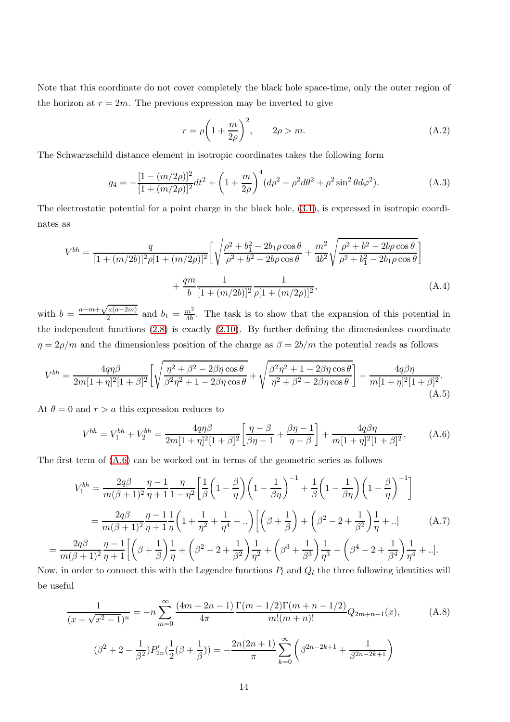Note that this coordinate do not cover completely the black hole space-time, only the outer region of the horizon at  $r = 2m$ . The previous expression may be inverted to give

$$
r = \rho \left( 1 + \frac{m}{2\rho} \right)^2, \qquad 2\rho > m. \tag{A.2}
$$

The Schwarzschild distance element in isotropic coordinates takes the following form

$$
g_4 = -\frac{[1 - (m/2\rho)]^2}{[1 + (m/2\rho)]^2} dt^2 + \left(1 + \frac{m}{2\rho}\right)^4 (d\rho^2 + \rho^2 d\theta^2 + \rho^2 \sin^2 \theta d\varphi^2). \tag{A.3}
$$

The electrostatic potential for a point charge in the black hole, [\(3.1\)](#page-6-1), is expressed in isotropic coordinates as

$$
V^{bh} = \frac{q}{[1 + (m/2b)]^2 \rho [1 + (m/2\rho)]^2} \left[ \sqrt{\frac{\rho^2 + b_1^2 - 2b_1 \rho \cos \theta}{\rho^2 + b^2 - 2b\rho \cos \theta}} + \frac{m^2}{4b^2} \sqrt{\frac{\rho^2 + b^2 - 2b\rho \cos \theta}{\rho^2 + b_1^2 - 2b_1 \rho \cos \theta}} \right] + \frac{qm}{b} \frac{1}{[1 + (m/2b)]^2} \frac{1}{\rho [1 + (m/2\rho)]^2},
$$
\n(A.4)

with  $b = \frac{a-m+\sqrt{a(a-2m)}}{2}$  $\frac{a(a-2m)}{2}$  and  $b_1 = \frac{m^2}{4b}$  $\frac{n^2}{4b}$ . The task is to show that the expansion of this potential in the independent functions [\(2.8\)](#page-3-3) is exactly [\(2.10\)](#page-3-2). By further defining the dimensionless coordinate  $\eta = 2\rho/m$  and the dimensionless position of the charge as  $\beta = 2b/m$  the potential reads as follows

$$
V^{bh} = \frac{4q\eta\beta}{2m[1+\eta]^2[1+\beta]^2} \left[ \sqrt{\frac{\eta^2+\beta^2-2\beta\eta\cos\theta}{\beta^2\eta^2+1-2\beta\eta\cos\theta}} + \sqrt{\frac{\beta^2\eta^2+1-2\beta\eta\cos\theta}{\eta^2+\beta^2-2\beta\eta\cos\theta}} \right] + \frac{4q\beta\eta}{m[1+\eta]^2[1+\beta]^2}.
$$
\n(A.5)

At  $\theta = 0$  and  $r > a$  this expression reduces to

=

<span id="page-13-0"></span>
$$
V^{bh} = V_1^{bh} + V_2^{bh} = \frac{4q\eta\beta}{2m[1+\eta]^2[1+\beta]^2} \left[\frac{\eta-\beta}{\beta\eta-1} + \frac{\beta\eta-1}{\eta-\beta}\right] + \frac{4q\beta\eta}{m[1+\eta]^2[1+\beta]^2}.
$$
 (A.6)

The first term of [\(A.6\)](#page-13-0) can be worked out in terms of the geometric series as follows

<span id="page-13-2"></span>
$$
V_1^{bh} = \frac{2q\beta}{m(\beta+1)^2} \frac{\eta - 1}{\eta + 1} \frac{\eta}{1 - \eta^2} \left[ \frac{1}{\beta} \left( 1 - \frac{\beta}{\eta} \right) \left( 1 - \frac{1}{\beta \eta} \right)^{-1} + \frac{1}{\beta} \left( 1 - \frac{1}{\beta \eta} \right) \left( 1 - \frac{\beta}{\eta} \right)^{-1} \right]
$$
  
= 
$$
\frac{2q\beta}{m(\beta+1)^2} \frac{\eta - 1}{\eta + 1} \frac{1}{\eta} \left( 1 + \frac{1}{\eta^2} + \frac{1}{\eta^4} + \ldots \right) \left[ \left( \beta + \frac{1}{\beta} \right) + \left( \beta^2 - 2 + \frac{1}{\beta^2} \right) \frac{1}{\eta} + \ldots \right] \qquad (A.7)
$$
  

$$
\frac{2q\beta}{m(\beta+1)^2} \frac{\eta - 1}{\eta + 1} \left[ \left( \beta + \frac{1}{\beta} \right) \frac{1}{\eta} + \left( \beta^2 - 2 + \frac{1}{\beta^2} \right) \frac{1}{\eta^2} + \left( \beta^3 + \frac{1}{\beta^3} \right) \frac{1}{\eta^3} + \left( \beta^4 - 2 + \frac{1}{\beta^4} \right) \frac{1}{\eta^4} + \ldots \right].
$$

Now, in order to connect this with the Legendre functions  $P_l$  and  $Q_l$  the three following identities will be useful

<span id="page-13-1"></span>
$$
\frac{1}{(x+\sqrt{x^2-1})^n} = -n \sum_{m=0}^{\infty} \frac{(4m+2n-1)}{4\pi} \frac{\Gamma(m-1/2)\Gamma(m+n-1/2)}{m!(m+n)!} Q_{2m+n-1}(x),
$$
(A.8)  

$$
(\beta^2+2-\frac{1}{\beta^2})P'_{2n}(\frac{1}{2}(\beta+\frac{1}{\beta})) = -\frac{2n(2n+1)}{\pi} \sum_{k=0}^{\infty} \left(\beta^{2n-2k+1} + \frac{1}{\beta^{2n-2k+1}}\right)
$$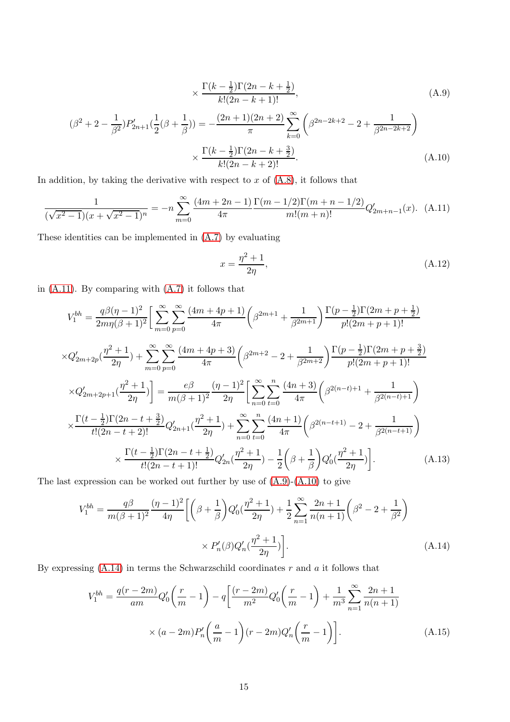<span id="page-14-2"></span><span id="page-14-1"></span>
$$
\times \frac{\Gamma(k - \frac{1}{2})\Gamma(2n - k + \frac{1}{2})}{k!(2n - k + 1)!},
$$
\n(A.9)

$$
(\beta^2 + 2 - \frac{1}{\beta^2})P'_{2n+1}(\frac{1}{2}(\beta + \frac{1}{\beta})) = -\frac{(2n+1)(2n+2)}{\pi} \sum_{k=0}^{\infty} \left(\beta^{2n-2k+2} - 2 + \frac{1}{\beta^{2n-2k+2}}\right)
$$

$$
\times \frac{\Gamma(k-\frac{1}{2})\Gamma(2n-k+\frac{3}{2})}{k!(2n-k+2)!}.
$$
(A.10)

In addition, by taking the derivative with respect to  $x$  of  $(A.8)$ , it follows that

<span id="page-14-0"></span>
$$
\frac{1}{(\sqrt{x^2 - 1})(x + \sqrt{x^2 - 1})^n} = -n \sum_{m=0}^{\infty} \frac{(4m + 2n - 1)}{4\pi} \frac{\Gamma(m - 1/2)\Gamma(m + n - 1/2)}{m!(m + n)!} Q'_{2m + n - 1}(x). \tag{A.11}
$$

These identities can be implemented in [\(A.7\)](#page-13-2) by evaluating

$$
x = \frac{\eta^2 + 1}{2\eta},\tag{A.12}
$$

in [\(A.11\)](#page-14-0). By comparing with [\(A.7\)](#page-13-2) it follows that

$$
V_1^{bh} = \frac{q\beta(\eta - 1)^2}{2m\eta(\beta + 1)^2} \Big[ \sum_{m=0}^{\infty} \sum_{p=0}^{\infty} \frac{(4m + 4p + 1)}{4\pi} \Big( \beta^{2m+1} + \frac{1}{\beta^{2m+1}} \Big) \frac{\Gamma(p - \frac{1}{2})\Gamma(2m + p + \frac{1}{2})}{p!(2m + p + 1)!}
$$
  
\n
$$
\times Q'_{2m+2p}(\frac{\eta^2 + 1}{2\eta}) + \sum_{m=0}^{\infty} \sum_{p=0}^{\infty} \frac{(4m + 4p + 3)}{4\pi} \Big( \beta^{2m+2} - 2 + \frac{1}{\beta^{2m+2}} \Big) \frac{\Gamma(p - \frac{1}{2})\Gamma(2m + p + \frac{3}{2})}{p!(2m + p + 1)!}
$$
  
\n
$$
\times Q'_{2m+2p+1}(\frac{\eta^2 + 1}{2\eta}) \Big] = \frac{e\beta}{m(\beta + 1)^2} \frac{(\eta - 1)^2}{2\eta} \Big[ \sum_{n=0}^{\infty} \sum_{t=0}^n \frac{(4n + 3)}{4\pi} \Big( \beta^{2(n-t)+1} + \frac{1}{\beta^{2(n-t)+1}} \Big)
$$
  
\n
$$
\times \frac{\Gamma(t - \frac{1}{2})\Gamma(2n - t + \frac{3}{2})}{t!(2n - t + 2)!} Q'_{2n+1}(\frac{\eta^2 + 1}{2\eta}) + \sum_{n=0}^{\infty} \sum_{t=0}^n \frac{(4n + 1)}{4\pi} \Big( \beta^{2(n-t+1)} - 2 + \frac{1}{\beta^{2(n-t+1)}} \Big)
$$
  
\n
$$
\times \frac{\Gamma(t - \frac{1}{2})\Gamma(2n - t + \frac{1}{2})}{t!(2n - t + 1)!} Q'_{2n}(\frac{\eta^2 + 1}{2\eta}) - \frac{1}{2} \Big( \beta + \frac{1}{\beta} \Big) Q'_{0}(\frac{\eta^2 + 1}{2\eta}) \Big].
$$
 (A.13)

The last expression can be worked out further by use of  $(A.9)-(A.10)$  $(A.9)-(A.10)$  to give

$$
V_1^{bh} = \frac{q\beta}{m(\beta+1)^2} \frac{(\eta-1)^2}{4\eta} \left[ \left(\beta + \frac{1}{\beta}\right) Q_0'(\frac{\eta^2+1}{2\eta}) + \frac{1}{2} \sum_{n=1}^{\infty} \frac{2n+1}{n(n+1)} \left(\beta^2 - 2 + \frac{1}{\beta^2}\right) \right. \\
\left. \times P_n'(\beta) Q_n'(\frac{\eta^2+1}{2\eta}) \right].
$$
\n(A.14)

By expressing  $(A.14)$  in terms the Schwarzschild coordinates r and a it follows that

<span id="page-14-3"></span>
$$
V_1^{bh} = \frac{q(r-2m)}{am}Q'_0\left(\frac{r}{m}-1\right) - q\left[\frac{(r-2m)}{m^2}Q'_0\left(\frac{r}{m}-1\right) + \frac{1}{m^3}\sum_{n=1}^{\infty}\frac{2n+1}{n(n+1)}\right] \times (a-2m)P'_n\left(\frac{a}{m}-1\right)(r-2m)Q'_n\left(\frac{r}{m}-1\right)\right].
$$
\n(A.15)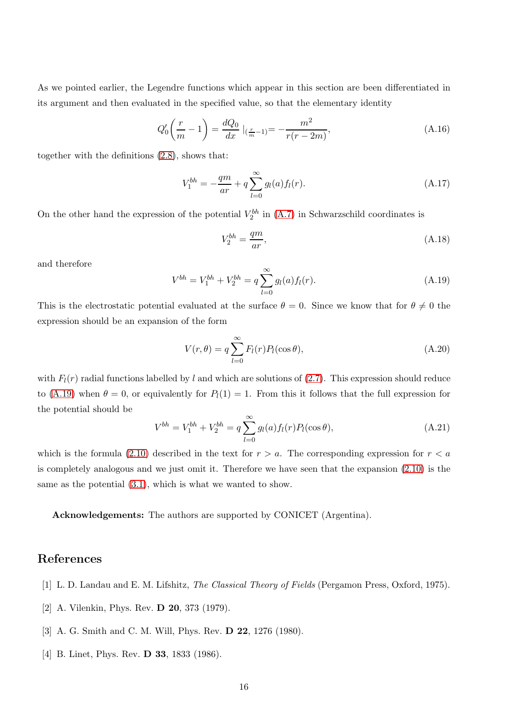As we pointed earlier, the Legendre functions which appear in this section are been differentiated in its argument and then evaluated in the specified value, so that the elementary identity

$$
Q_0'\left(\frac{r}{m} - 1\right) = \frac{dQ_0}{dx}\Big|_{\left(\frac{r}{m} - 1\right)} = -\frac{m^2}{r(r - 2m)},\tag{A.16}
$$

together with the definitions [\(2.8\)](#page-3-3), shows that:

$$
V_1^{bh} = -\frac{qm}{ar} + q \sum_{l=0}^{\infty} g_l(a) f_l(r).
$$
 (A.17)

On the other hand the expression of the potential  $V_2^{bh}$  in [\(A.7\)](#page-13-2) in Schwarzschild coordinates is

$$
V_2^{bh} = \frac{qm}{ar},\tag{A.18}
$$

and therefore

<span id="page-15-4"></span>
$$
V^{bh} = V_1^{bh} + V_2^{bh} = q \sum_{l=0}^{\infty} g_l(a) f_l(r).
$$
 (A.19)

This is the electrostatic potential evaluated at the surface  $\theta = 0$ . Since we know that for  $\theta \neq 0$  the expression should be an expansion of the form

$$
V(r,\theta) = q \sum_{l=0}^{\infty} F_l(r) P_l(\cos \theta), \qquad (A.20)
$$

with  $F_l(r)$  radial functions labelled by l and which are solutions of [\(2.7\)](#page-3-0). This expression should reduce to [\(A.19\)](#page-15-4) when  $\theta = 0$ , or equivalently for  $P_l(1) = 1$ . From this it follows that the full expression for the potential should be

$$
V^{bh} = V_1^{bh} + V_2^{bh} = q \sum_{l=0}^{\infty} g_l(a) f_l(r) P_l(\cos \theta), \qquad (A.21)
$$

which is the formula [\(2.10\)](#page-3-2) described in the text for  $r > a$ . The corresponding expression for  $r < a$ is completely analogous and we just omit it. Therefore we have seen that the expansion [\(2.10\)](#page-3-2) is the same as the potential [\(3.1\)](#page-6-1), which is what we wanted to show.

Acknowledgements: The authors are supported by CONICET (Argentina).

### <span id="page-15-0"></span>References

- <span id="page-15-1"></span>[1] L. D. Landau and E. M. Lifshitz, The Classical Theory of Fields (Pergamon Press, Oxford, 1975).
- <span id="page-15-2"></span>[2] A. Vilenkin, Phys. Rev. D 20, 373 (1979).
- <span id="page-15-3"></span>[3] A. G. Smith and C. M. Will, Phys. Rev. D 22, 1276 (1980).
- [4] B. Linet, Phys. Rev. **D 33**, 1833 (1986).